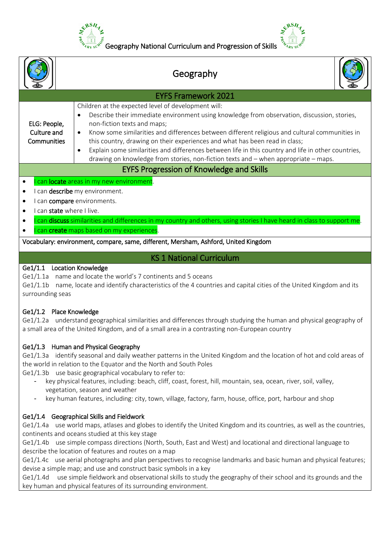

| $\mathbb{Z}_{R_{X S}}^{\mathbb{Z}_{R}}$ Geography National Curriculum and Progression of Skills $\mathbb{Z}_{R_{X S}}^{\mathbb{Z}_{R}}$ |  |
|-----------------------------------------------------------------------------------------------------------------------------------------|--|
| Geography                                                                                                                               |  |
| <b>EYFS Framework 2021</b>                                                                                                              |  |
| Children at the expected level of development will:                                                                                     |  |

#### ELG: People, Culture and **Communities**

this country, drawing on their experiences and what has been read in class; Explain some similarities and differences between life in this country and life in other countries,

Describe their immediate environment using knowledge from observation, discussion, stories,

Know some similarities and differences between different religious and cultural communities in

drawing on knowledge from stories, non-fiction texts and – when appropriate – maps.

# EYFS Progression of Knowledge and Skills

## $\bullet$  l can locate areas in my new environment.

- I can describe my environment.
- I can **compare** environments.
- I can state where I live.
- I can discuss similarities and differences in my country and others, using stories I have heard in class to support me.
- I can **create** maps based on my experiences.

## Vocabulary: environment, compare, same, different, Mersham, Ashford, United Kingdom

# KS 1 National Curriculum

## Ge1/1.1 Location Knowledge

Ge1/1.1a name and locate the world's 7 continents and 5 oceans

non-fiction texts and maps;

Ge1/1.1b name, locate and identify characteristics of the 4 countries and capital cities of the United Kingdom and its surrounding seas

# Ge1/1.2 Place Knowledge

Ge1/1.2a understand geographical similarities and differences through studying the human and physical geography of a small area of the United Kingdom, and of a small area in a contrasting non-European country

# Ge1/1.3 Human and Physical Geography

Ge1/1.3a identify seasonal and daily weather patterns in the United Kingdom and the location of hot and cold areas of the world in relation to the Equator and the North and South Poles

Ge1/1.3b use basic geographical vocabulary to refer to:

- key physical features, including: beach, cliff, coast, forest, hill, mountain, sea, ocean, river, soil, valley, vegetation, season and weather
- key human features, including: city, town, village, factory, farm, house, office, port, harbour and shop

# Ge1/1.4 Geographical Skills and Fieldwork

Ge1/1.4a use world maps, atlases and globes to identify the United Kingdom and its countries, as well as the countries, continents and oceans studied at this key stage

Ge1/1.4b use simple compass directions (North, South, East and West) and locational and directional language to describe the location of features and routes on a map

Ge1/1.4c use aerial photographs and plan perspectives to recognise landmarks and basic human and physical features; devise a simple map; and use and construct basic symbols in a key

Ge1/1.4d use simple fieldwork and observational skills to study the geography of their school and its grounds and the key human and physical features of its surrounding environment.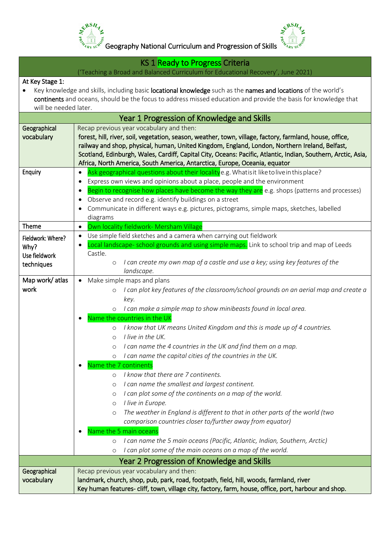



KS 1 Ready to Progress Criteria

('Teaching a Broad and Balanced Curriculum for Educational Recovery', June 2021)

### At Key Stage 1:

 Key knowledge and skills, including basic locational knowledge such as the names and locations of the world's continents and oceans, should be the focus to address missed education and provide the basis for knowledge that will be needed later.

|                            | Year 1 Progression of Knowledge and Skills                                                                                                                                                                                                                                                    |  |
|----------------------------|-----------------------------------------------------------------------------------------------------------------------------------------------------------------------------------------------------------------------------------------------------------------------------------------------|--|
| Geographical<br>vocabulary | Recap previous year vocabulary and then:<br>forest, hill, river, soil, vegetation, season, weather, town, village, factory, farmland, house, office,                                                                                                                                          |  |
|                            | railway and shop, physical, human, United Kingdom, England, London, Northern Ireland, Belfast,<br>Scotland, Edinburgh, Wales, Cardiff, Capital City, Oceans: Pacific, Atlantic, Indian, Southern, Arctic, Asia,<br>Africa, North America, South America, Antarctica, Europe, Oceania, equator |  |
| Enquiry                    | Ask geographical questions about their localitye.g. Whatisit like to live in this place?                                                                                                                                                                                                      |  |
|                            | Express own views and opinions about a place, people and the environment<br>$\bullet$                                                                                                                                                                                                         |  |
|                            | Begin to recognise how places have become the way they are e.g. shops (patterns and processes)                                                                                                                                                                                                |  |
|                            | Observe and record e.g. identify buildings on a street                                                                                                                                                                                                                                        |  |
|                            | Communicate in different ways e.g. pictures, pictograms, simple maps, sketches, labelled                                                                                                                                                                                                      |  |
| Theme                      | diagrams                                                                                                                                                                                                                                                                                      |  |
|                            | Own locality fieldwork- Mersham Village<br>$\bullet$<br>Use simple field sketches and a camera when carrying out fieldwork<br>$\bullet$                                                                                                                                                       |  |
| Fieldwork: Where?          | Local landscape- school grounds and using simple maps. Link to school trip and map of Leeds<br>$\bullet$                                                                                                                                                                                      |  |
| Why?<br>Use fieldwork      | Castle.                                                                                                                                                                                                                                                                                       |  |
| techniques                 | I can create my own map of a castle and use a key; using key features of the<br>$\circ$                                                                                                                                                                                                       |  |
|                            | landscape.                                                                                                                                                                                                                                                                                    |  |
| Map work/atlas             | • Make simple maps and plans                                                                                                                                                                                                                                                                  |  |
| work                       | I can plot key features of the classroom/school grounds on an aerial map and create a<br>$\circ$                                                                                                                                                                                              |  |
|                            | key.                                                                                                                                                                                                                                                                                          |  |
|                            | I can make a simple map to show minibeasts found in local area.<br>$\circ$<br>Name the countries in the UK                                                                                                                                                                                    |  |
|                            | I know that UK means United Kingdom and this is made up of 4 countries.<br>$\circ$                                                                                                                                                                                                            |  |
|                            | I live in the UK.<br>$\circ$                                                                                                                                                                                                                                                                  |  |
|                            | I can name the 4 countries in the UK and find them on a map.<br>$\circ$                                                                                                                                                                                                                       |  |
|                            | I can name the capital cities of the countries in the UK.<br>$\circ$                                                                                                                                                                                                                          |  |
|                            | Name the 7 continents                                                                                                                                                                                                                                                                         |  |
|                            | I know that there are 7 continents.<br>$\circ$                                                                                                                                                                                                                                                |  |
|                            | I can name the smallest and largest continent.<br>$\circ$                                                                                                                                                                                                                                     |  |
|                            | I can plot some of the continents on a map of the world.<br>$\circ$                                                                                                                                                                                                                           |  |
|                            | I live in Europe.<br>O                                                                                                                                                                                                                                                                        |  |
|                            | The weather in England is different to that in other parts of the world (two<br>$\circ$                                                                                                                                                                                                       |  |
|                            | comparison countries closer to/further away from equator)                                                                                                                                                                                                                                     |  |
|                            | Name the 5 main oceans<br>$\bullet$<br>I can name the 5 main oceans (Pacific, Atlantic, Indian, Southern, Arctic)                                                                                                                                                                             |  |
|                            | $\circ$<br>I can plot some of the main oceans on a map of the world.<br>$\circ$                                                                                                                                                                                                               |  |
|                            | Year 2 Progression of Knowledge and Skills                                                                                                                                                                                                                                                    |  |
| Geographical               | Recap previous year vocabulary and then:                                                                                                                                                                                                                                                      |  |
| vocabulary                 | landmark, church, shop, pub, park, road, footpath, field, hill, woods, farmland, river                                                                                                                                                                                                        |  |
|                            | Key human features-cliff, town, village city, factory, farm, house, office, port, harbour and shop.                                                                                                                                                                                           |  |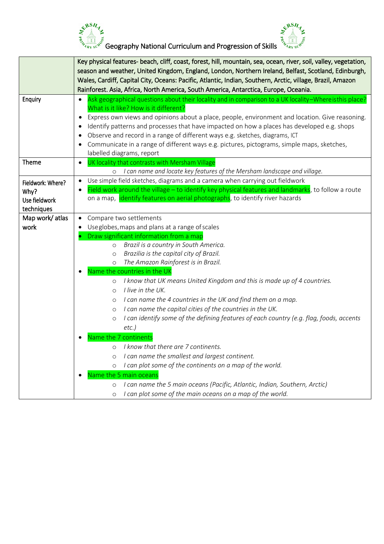

Geography National Curriculum and Progression of Skills

&RSH

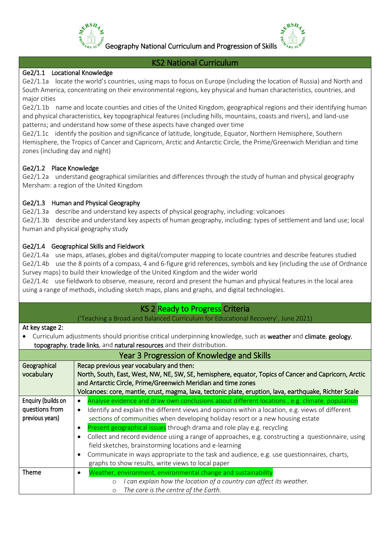

Geography National Curriculum and Progression of Skills

### KS2 National Curriculum

#### Ge2/1.1 Locational Knowledge

Ge2/1.1a locate the world's countries, using maps to focus on Europe (including the location of Russia) and North and South America, concentrating on their environmental regions, key physical and human characteristics, countries, and major cities

Ge2/1.1b name and locate counties and cities of the United Kingdom, geographical regions and their identifying human and physical characteristics, key topographical features (including hills, mountains, coasts and rivers), and land-use patterns; and understand how some of these aspects have changed over time

Ge2/1.1c identify the position and significance of latitude, longitude, Equator, Northern Hemisphere, Southern Hemisphere, the Tropics of Cancer and Capricorn, Arctic and Antarctic Circle, the Prime/Greenwich Meridian and time zones (including day and night)

### Ge2/1.2 Place Knowledge

Ge2/1.2a understand geographical similarities and differences through the study of human and physical geography Mersham: a region of the United Kingdom

### Ge2/1.3 Human and Physical Geography

Ge2/1.3a describe and understand key aspects of physical geography, including: volcanoes Ge2/1.3b describe and understand key aspects of human geography, including: types of settlement and land use; local human and physical geography study

### Ge2/1.4 Geographical Skills and Fieldwork

Ge2/1.4a use maps, atlases, globes and digital/computer mapping to locate countries and describe features studied Ge2/1.4b use the 8 points of a compass, 4 and 6-figure grid references, symbols and key (including the use of Ordnance Survey maps) to build their knowledge of the United Kingdom and the wider world

Ge2/1.4c use fieldwork to observe, measure, record and present the human and physical features in the local area using a range of methods, including sketch maps, plans and graphs, and digital technologies.

### KS 2 Ready to Progress Criteria

('Teaching a Broad and Balanced Curriculum for Educational Recovery', June 2021)

#### At key stage 2:

Curriculum adjustments should prioritise critical underpinning knowledge, such as weather and climate, geology, topography, trade links, and natural resources and their distribution.

| Year 3 Progression of Knowledge and Skills              |                                                                                                                                                                                                                                                                                                                                                                                                                                                                                                                                                                                                                                                                                                                                           |
|---------------------------------------------------------|-------------------------------------------------------------------------------------------------------------------------------------------------------------------------------------------------------------------------------------------------------------------------------------------------------------------------------------------------------------------------------------------------------------------------------------------------------------------------------------------------------------------------------------------------------------------------------------------------------------------------------------------------------------------------------------------------------------------------------------------|
| Geographical<br>vocabulary                              | Recap previous year vocabulary and then:<br>North, South, East, West, NW, NE, SW, SE, hemisphere, equator, Topics of Cancer and Capricorn, Arctic<br>and Antarctic Circle, Prime/Greenwich Meridian and time zones<br>Volcanoes: core, mantle, crust, magma, lava, tectonic plate, eruption, lava, earthquake, Richter Scale                                                                                                                                                                                                                                                                                                                                                                                                              |
| Enquiry (builds on<br>questions from<br>previous years) | Analyse evidence and draw own conclusions about different locations, e.g. climate, population<br>$\bullet$<br>Identify and explain the different views and opinions within a location, e.g. views of different<br>$\bullet$<br>sections of communities when developing holiday resort or a new housing estate<br>Present geographical issues through drama and role play e.g. recycling<br>$\bullet$<br>Collect and record evidence using a range of approaches, e.g. constructing a questionnaire, using<br>$\bullet$<br>field sketches, brainstorming locations and e-learning<br>Communicate in ways appropriate to the task and audience, e.g. use questionnaires, charts,<br>٠<br>graphs to show results, write views to local paper |
| <b>Theme</b>                                            | Weather, environment, environmental change and sustainability<br>٠<br>I can explain how the location of a country can affect its weather.<br>$\circ$<br>The core is the centre of the Earth.<br>$\circ$                                                                                                                                                                                                                                                                                                                                                                                                                                                                                                                                   |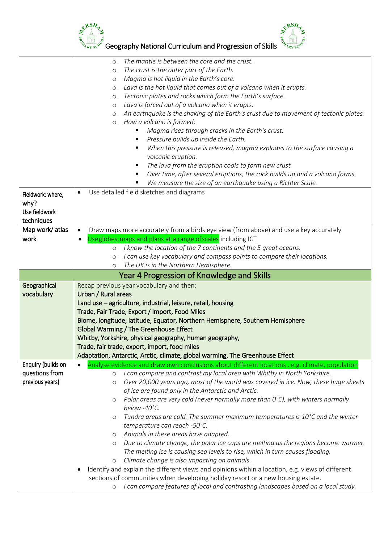



|                                                          | ERSH<br>Geography National Curriculum and Progression of Skills                                                                                                                                                                                                                                                                                                                                                                                                                                                                                                                                                                                                                                                                                                                                                                                                                                                                                                                                                                                                               |
|----------------------------------------------------------|-------------------------------------------------------------------------------------------------------------------------------------------------------------------------------------------------------------------------------------------------------------------------------------------------------------------------------------------------------------------------------------------------------------------------------------------------------------------------------------------------------------------------------------------------------------------------------------------------------------------------------------------------------------------------------------------------------------------------------------------------------------------------------------------------------------------------------------------------------------------------------------------------------------------------------------------------------------------------------------------------------------------------------------------------------------------------------|
|                                                          | The mantle is between the core and the crust.<br>$\circ$<br>The crust is the outer part of the Earth.<br>$\circ$<br>Magma is hot liquid in the Earth's core.<br>O<br>Lava is the hot liquid that comes out of a volcano when it erupts.<br>$\circ$<br>Tectonic plates and rocks which form the Earth's surface.<br>$\circ$<br>Lava is forced out of a volcano when it erupts.<br>O<br>An earthquake is the shaking of the Earth's crust due to movement of tectonic plates.<br>O<br>How a volcano is formed:<br>$\circ$<br>Magma rises through cracks in the Earth's crust.<br>Pressure builds up inside the Earth.<br>When this pressure is released, magma explodes to the surface causing a<br>volcanic eruption.<br>The lava from the eruption cools to form new crust.<br>Over time, after several eruptions, the rock builds up and a volcano forms.<br>We measure the size of an earthquake using a Richter Scale.                                                                                                                                                     |
| Fieldwork: where,<br>why?<br>Use fieldwork<br>techniques | Use detailed field sketches and diagrams                                                                                                                                                                                                                                                                                                                                                                                                                                                                                                                                                                                                                                                                                                                                                                                                                                                                                                                                                                                                                                      |
| Map work/atlas<br>work                                   | Draw maps more accurately from a birds eye view (from above) and use a key accurately<br>Useglobes, maps and plans at a range of scales including ICT<br>I know the location of the 7 continents and the 5 great oceans.<br>$\circ$<br>I can use key vocabulary and compass points to compare their locations.<br>$\circ$<br>The UK is in the Northern Hemisphere.<br>$\circ$                                                                                                                                                                                                                                                                                                                                                                                                                                                                                                                                                                                                                                                                                                 |
|                                                          | Year 4 Progression of Knowledge and Skills                                                                                                                                                                                                                                                                                                                                                                                                                                                                                                                                                                                                                                                                                                                                                                                                                                                                                                                                                                                                                                    |
| Geographical<br>vocabulary                               | Recap previous year vocabulary and then:<br>Urban / Rural areas<br>Land use - agriculture, industrial, leisure, retail, housing<br>Trade, Fair Trade, Export / Import, Food Miles<br>Biome, longitude, latitude, Equator, Northern Hemisphere, Southern Hemisphere<br><b>Global Warming / The Greenhouse Effect</b><br>Whitby, Yorkshire, physical geography, human geography,<br>Trade, fair trade, export, import, food miles<br>Adaptation, Antarctic, Arctic, climate, global warming, The Greenhouse Effect                                                                                                                                                                                                                                                                                                                                                                                                                                                                                                                                                              |
| Enquiry (builds on<br>questions from<br>previous years)  | Analyse evidence and draw own conclusions about different locations , e.g. climate, population<br>I can compare and contrast my local area with Whitby in North Yorkshire.<br>$\circ$<br>Over 20,000 years ago, most of the world was covered in ice. Now, these huge sheets<br>$\circ$<br>of ice are found only in the Antarctic and Arctic.<br>Polar areas are very cold (never normally more than 0°C), with winters normally<br>O<br>below -40°C.<br>Tundra areas are cold. The summer maximum temperatures is $10^{\circ}$ C and the winter<br>$\circ$<br>temperature can reach -50°C.<br>Animals in these areas have adapted.<br>$\circ$<br>Due to climate change, the polar ice caps are melting as the regions become warmer.<br>O<br>The melting ice is causing sea levels to rise, which in turn causes flooding.<br>Climate change is also impacting on animals.<br>$\circ$<br>Identify and explain the different views and opinions within a location, e.g. views of different<br>sections of communities when developing holiday resort or a new housing estate. |
|                                                          | I can compare features of local and contrasting landscapes based on a local study.<br>$\circ$                                                                                                                                                                                                                                                                                                                                                                                                                                                                                                                                                                                                                                                                                                                                                                                                                                                                                                                                                                                 |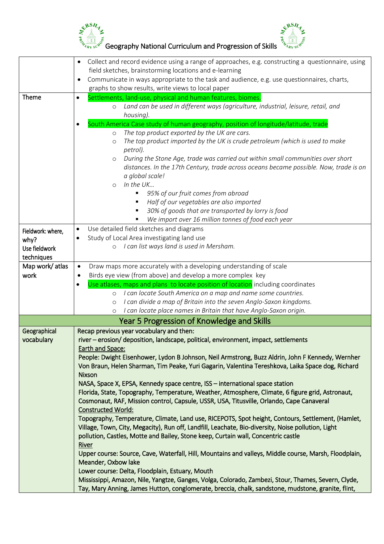



|                   | Collect and record evidence using a range of approaches, e.g. constructing a questionnaire, using<br>$\bullet$<br>field sketches, brainstorming locations and e-learning                     |  |
|-------------------|----------------------------------------------------------------------------------------------------------------------------------------------------------------------------------------------|--|
|                   | Communicate in ways appropriate to the task and audience, e.g. use questionnaires, charts,                                                                                                   |  |
|                   | graphs to show results, write views to local paper                                                                                                                                           |  |
| <b>Theme</b>      | Settlements, land-use, physical and human features, biomes.<br>$\bullet$                                                                                                                     |  |
|                   | Land can be used in different ways (agriculture, industrial, leisure, retail, and<br>$\circ$                                                                                                 |  |
|                   | housing).                                                                                                                                                                                    |  |
|                   | South America Case study of human geography, position of longitude/latitude, trade<br>$\bullet$                                                                                              |  |
|                   | The top product exported by the UK are cars.<br>$\circ$                                                                                                                                      |  |
|                   | The top product imported by the UK is crude petroleum (which is used to make<br>$\circ$<br>petrol).                                                                                          |  |
|                   | During the Stone Age, trade was carried out within small communities over short<br>$\circ$                                                                                                   |  |
|                   | distances. In the 17th Century, trade across oceans became possible. Now, trade is on                                                                                                        |  |
|                   | a global scale!                                                                                                                                                                              |  |
|                   | In the UK<br>$\circ$                                                                                                                                                                         |  |
|                   | 95% of our fruit comes from abroad                                                                                                                                                           |  |
|                   | Half of our vegetables are also imported                                                                                                                                                     |  |
|                   | 30% of goods that are transported by lorry is food                                                                                                                                           |  |
|                   | We import over 16 million tonnes of food each year                                                                                                                                           |  |
| Fieldwork: where, | Use detailed field sketches and diagrams<br>$\bullet$                                                                                                                                        |  |
| why?              | Study of Local Area investigating land use<br>$\bullet$                                                                                                                                      |  |
| Use fieldwork     | I can list ways land is used in Mersham.<br>$\circ$                                                                                                                                          |  |
| techniques        |                                                                                                                                                                                              |  |
| Map work/atlas    | Draw maps more accurately with a developing understanding of scale                                                                                                                           |  |
| work              | Birds eye view (from above) and develop a more complex key                                                                                                                                   |  |
|                   | Use atlases, maps and plans to locate position of location including coordinates<br>$\bullet$                                                                                                |  |
|                   | I can locate South America on a map and name some countries.<br>$\circ$                                                                                                                      |  |
|                   | I can divide a map of Britain into the seven Anglo-Saxon kingdoms.<br>$\circ$                                                                                                                |  |
|                   | I can locate place names in Britain that have Anglo-Saxon origin.<br>$\circ$                                                                                                                 |  |
|                   | Year 5 Progression of Knowledge and Skills                                                                                                                                                   |  |
| Geographical      | Recap previous year vocabulary and then:                                                                                                                                                     |  |
| vocabulary        | river - erosion/ deposition, landscape, political, environment, impact, settlements                                                                                                          |  |
|                   | <b>Earth and Space:</b>                                                                                                                                                                      |  |
|                   | People: Dwight Eisenhower, Lydon B Johnson, Neil Armstrong, Buzz Aldrin, John F Kennedy, Wernher                                                                                             |  |
|                   | Von Braun, Helen Sharman, Tim Peake, Yuri Gagarin, Valentina Tereshkova, Laika Space dog, Richard                                                                                            |  |
|                   | <b>Nixson</b>                                                                                                                                                                                |  |
|                   | NASA, Space X, EPSA, Kennedy space centre, ISS - international space station                                                                                                                 |  |
|                   | Florida, State, Topography, Temperature, Weather, Atmosphere, Climate, 6 figure grid, Astronaut,<br>Cosmonaut, RAF, Mission control, Capsule, USSR, USA, Titusville, Orlando, Cape Canaveral |  |
|                   | <b>Constructed World:</b>                                                                                                                                                                    |  |
|                   | Topography, Temperature, Climate, Land use, RICEPOTS, Spot height, Contours, Settlement, (Hamlet,                                                                                            |  |
|                   | Village, Town, City, Megacity), Run off, Landfill, Leachate, Bio-diversity, Noise pollution, Light                                                                                           |  |
|                   | pollution, Castles, Motte and Bailey, Stone keep, Curtain wall, Concentric castle                                                                                                            |  |
|                   | <b>River</b>                                                                                                                                                                                 |  |
|                   | Upper course: Source, Cave, Waterfall, Hill, Mountains and valleys, Middle course, Marsh, Floodplain,                                                                                        |  |
|                   | Meander, Oxbow lake                                                                                                                                                                          |  |
|                   | Lower course: Delta, Floodplain, Estuary, Mouth                                                                                                                                              |  |
|                   | Mississippi, Amazon, Nile, Yangtze, Ganges, Volga, Colorado, Zambezi, Stour, Thames, Severn, Clyde,                                                                                          |  |
|                   | Tay, Mary Anning, James Hutton, conglomerate, breccia, chalk, sandstone, mudstone, granite, flint,                                                                                           |  |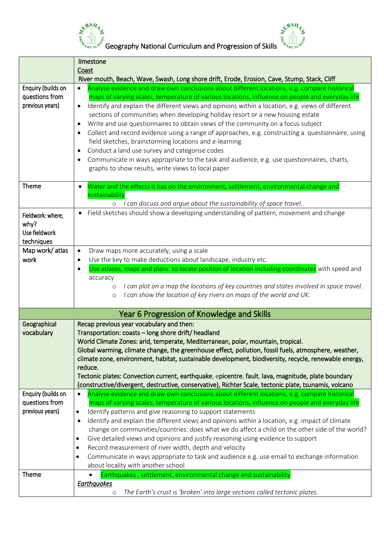

Geography National Curriculum and Progression of Skills